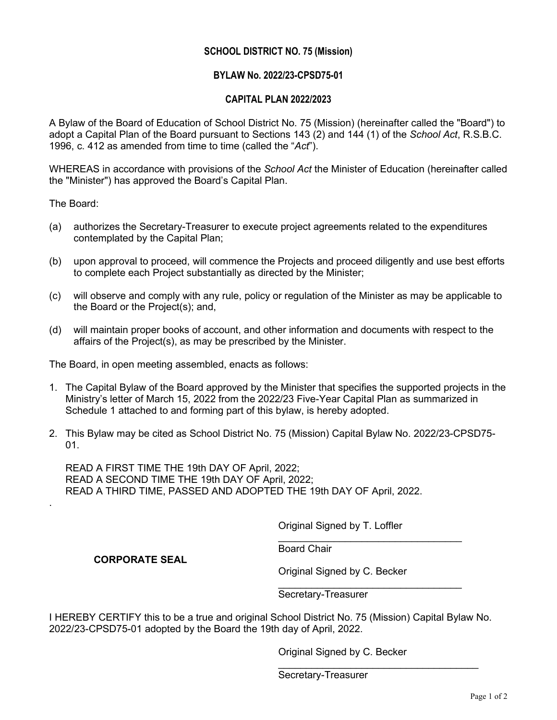### **SCHOOL DISTRICT NO. 75 (Mission)**

### **BYLAW No. 2022/23-CPSD75-01**

### **CAPITAL PLAN 2022/2023**

A Bylaw of the Board of Education of School District No. 75 (Mission) (hereinafter called the "Board") to adopt a Capital Plan of the Board pursuant to Sections 143 (2) and 144 (1) of the *School Act*, R.S.B.C. 1996, c. 412 as amended from time to time (called the "*Act*").

WHEREAS in accordance with provisions of the *School Act* the Minister of Education (hereinafter called the "Minister") has approved the Board's Capital Plan.

The Board:

.

- (a) authorizes the Secretary-Treasurer to execute project agreements related to the expenditures contemplated by the Capital Plan;
- (b) upon approval to proceed, will commence the Projects and proceed diligently and use best efforts to complete each Project substantially as directed by the Minister;
- (c) will observe and comply with any rule, policy or regulation of the Minister as may be applicable to the Board or the Project(s); and,
- (d) will maintain proper books of account, and other information and documents with respect to the affairs of the Project(s), as may be prescribed by the Minister.

The Board, in open meeting assembled, enacts as follows:

- 1. The Capital Bylaw of the Board approved by the Minister that specifies the supported projects in the Ministry's letter of March 15, 2022 from the 2022/23 Five-Year Capital Plan as summarized in Schedule 1 attached to and forming part of this bylaw, is hereby adopted.
- 2. This Bylaw may be cited as School District No. 75 (Mission) Capital Bylaw No. 2022/23-CPSD75-  $01<sub>1</sub>$

READ A FIRST TIME THE 19th DAY OF April, 2022; READ A SECOND TIME THE 19th DAY OF April, 2022; READ A THIRD TIME, PASSED AND ADOPTED THE 19th DAY OF April, 2022.

Original Signed by T. Loffler

 $\overline{\phantom{a}}$  , where  $\overline{\phantom{a}}$  , where  $\overline{\phantom{a}}$  ,  $\overline{\phantom{a}}$  ,  $\overline{\phantom{a}}$  ,  $\overline{\phantom{a}}$  ,  $\overline{\phantom{a}}$  ,  $\overline{\phantom{a}}$  ,  $\overline{\phantom{a}}$  ,  $\overline{\phantom{a}}$  ,  $\overline{\phantom{a}}$  ,  $\overline{\phantom{a}}$  ,  $\overline{\phantom{a}}$  ,  $\overline{\phantom{a}}$  ,  $\overline{\phantom{a}}$  , Board Chair

#### **CORPORATE SEAL**

Original Signed by C. Becker

\_\_\_\_\_\_\_\_\_\_\_\_\_\_\_\_\_\_\_\_\_\_\_\_\_\_\_\_\_\_\_\_\_ Secretary-Treasurer

I HEREBY CERTIFY this to be a true and original School District No. 75 (Mission) Capital Bylaw No. 2022/23-CPSD75-01 adopted by the Board the 19th day of April, 2022.

Original Signed by C. Becker

\_\_\_\_\_\_\_\_\_\_\_\_\_\_\_\_\_\_\_\_\_\_\_\_\_\_\_\_\_\_\_\_\_\_\_\_

Secretary-Treasurer